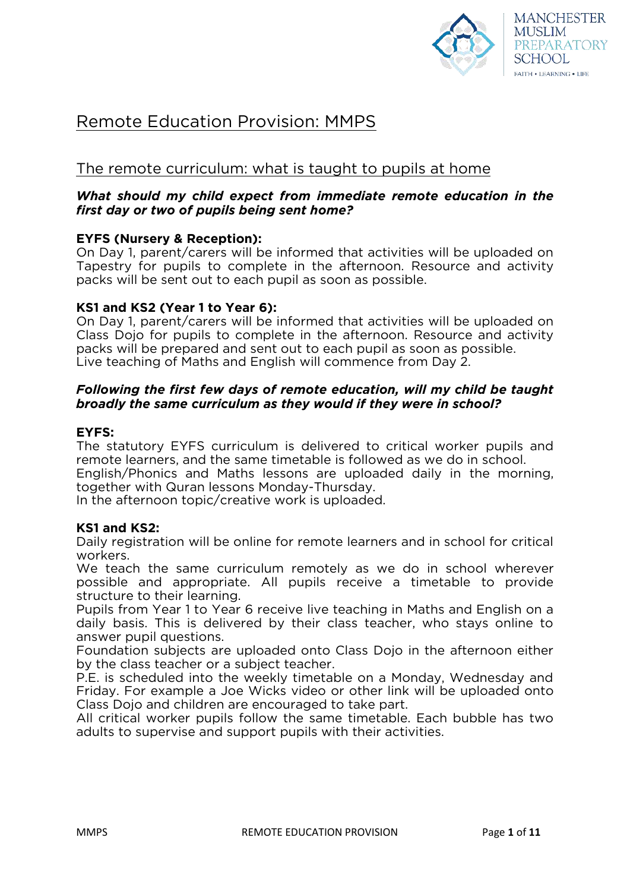

# Remote Education Provision: MMPS

# The remote curriculum: what is taught to pupils at home

# *What should my child expect from immediate remote education in the first day or two of pupils being sent home?*

### **EYFS (Nursery & Reception):**

On Day 1, parent/carers will be informed that activities will be uploaded on Tapestry for pupils to complete in the afternoon. Resource and activity packs will be sent out to each pupil as soon as possible.

### **KS1 and KS2 (Year 1 to Year 6):**

On Day 1, parent/carers will be informed that activities will be uploaded on Class Dojo for pupils to complete in the afternoon. Resource and activity packs will be prepared and sent out to each pupil as soon as possible. Live teaching of Maths and English will commence from Day 2.

### *Following the first few days of remote education, will my child be taught broadly the same curriculum as they would if they were in school?*

#### **EYFS:**

The statutory EYFS curriculum is delivered to critical worker pupils and remote learners, and the same timetable is followed as we do in school. English/Phonics and Maths lessons are uploaded daily in the morning,

together with Quran lessons Monday-Thursday.

In the afternoon topic/creative work is uploaded.

### **KS1 and KS2:**

Daily registration will be online for remote learners and in school for critical workers.

We teach the same curriculum remotely as we do in school wherever possible and appropriate. All pupils receive a timetable to provide structure to their learning.

Pupils from Year 1 to Year 6 receive live teaching in Maths and English on a daily basis. This is delivered by their class teacher, who stays online to answer pupil questions.

Foundation subjects are uploaded onto Class Dojo in the afternoon either by the class teacher or a subject teacher.

P.E. is scheduled into the weekly timetable on a Monday, Wednesday and Friday. For example a Joe Wicks video or other link will be uploaded onto Class Dojo and children are encouraged to take part.

All critical worker pupils follow the same timetable. Each bubble has two adults to supervise and support pupils with their activities.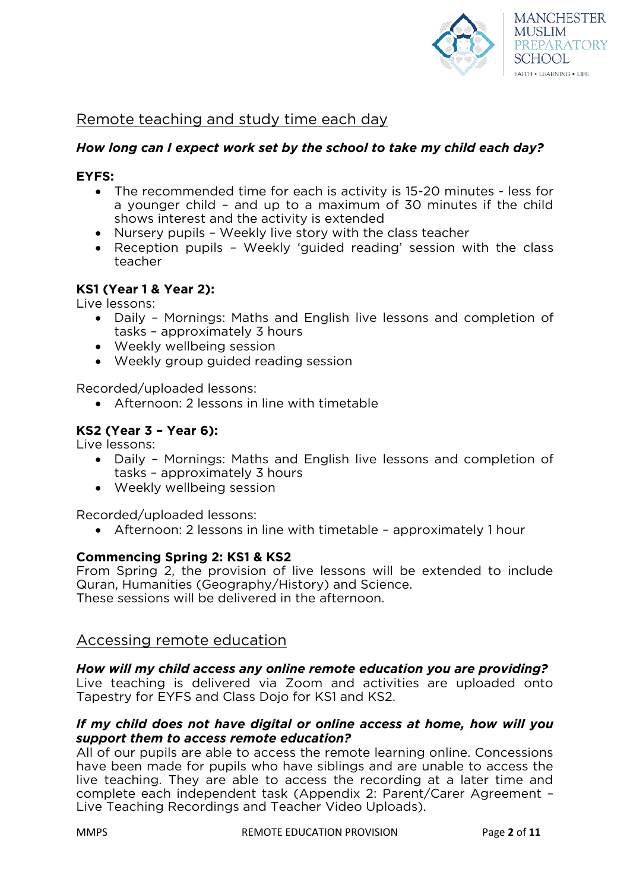

# Remote teaching and study time each day

# *How long can I expect work set by the school to take my child each day?*

### **EYFS:**

- The recommended time for each is activity is 15-20 minutes less for a younger child – and up to a maximum of 30 minutes if the child shows interest and the activity is extended
- Nursery pupils Weekly live story with the class teacher
- Reception pupils Weekly 'guided reading' session with the class teacher

### **KS1 (Year 1 & Year 2):**

Live lessons:

- Daily Mornings: Maths and English live lessons and completion of tasks – approximately 3 hours
- Weekly wellbeing session
- Weekly group guided reading session

Recorded/uploaded lessons:

Afternoon: 2 lessons in line with timetable

# **KS2 (Year 3 – Year 6):**

Live lessons:

- Daily Mornings: Maths and English live lessons and completion of tasks – approximately 3 hours
- Weekly wellbeing session

Recorded/uploaded lessons:

Afternoon: 2 lessons in line with timetable – approximately 1 hour

### **Commencing Spring 2: KS1 & KS2**

From Spring 2, the provision of live lessons will be extended to include Quran, Humanities (Geography/History) and Science. These sessions will be delivered in the afternoon.

# Accessing remote education

### *How will my child access any online remote education you are providing?*

Live teaching is delivered via Zoom and activities are uploaded onto Tapestry for EYFS and Class Dojo for KS1 and KS2.

# *If my child does not have digital or online access at home, how will you support them to access remote education?*

All of our pupils are able to access the remote learning online. Concessions have been made for pupils who have siblings and are unable to access the live teaching. They are able to access the recording at a later time and complete each independent task (Appendix 2: Parent/Carer Agreement – Live Teaching Recordings and Teacher Video Uploads).

MMPS REMOTE EDUCATION PROVISION Page **2** of **11**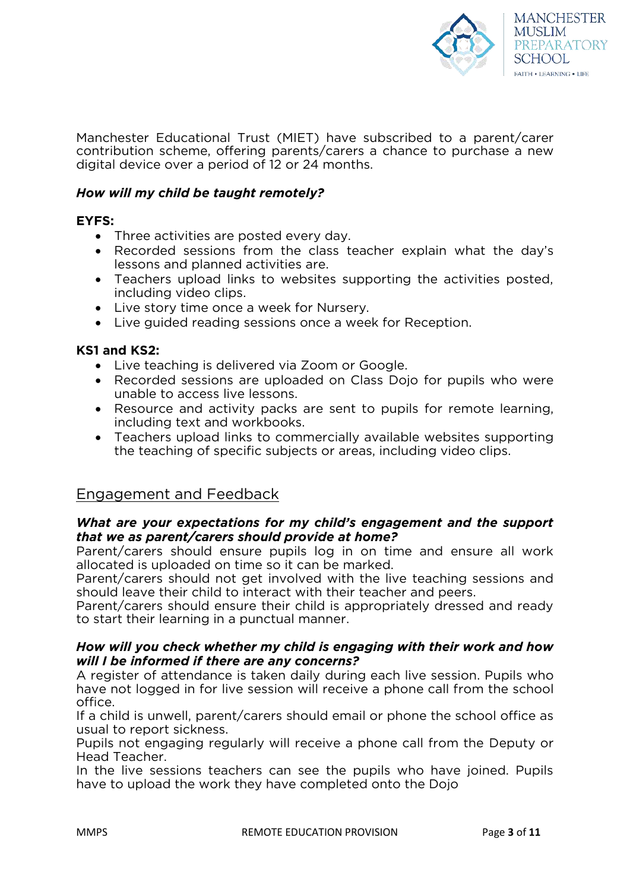

Manchester Educational Trust (MIET) have subscribed to a parent/carer contribution scheme, offering parents/carers a chance to purchase a new digital device over a period of 12 or 24 months.

### *How will my child be taught remotely?*

### **EYFS:**

- Three activities are posted every day.
- Recorded sessions from the class teacher explain what the day's lessons and planned activities are.
- Teachers upload links to websites supporting the activities posted, including video clips.
- Live story time once a week for Nursery.
- Live guided reading sessions once a week for Reception.

### **KS1 and KS2:**

- Live teaching is delivered via Zoom or Google.
- Recorded sessions are uploaded on Class Dojo for pupils who were unable to access live lessons.
- Resource and activity packs are sent to pupils for remote learning, including text and workbooks.
- Teachers upload links to commercially available websites supporting the teaching of specific subjects or areas, including video clips.

# Engagement and Feedback

### *What are your expectations for my child's engagement and the support that we as parent/carers should provide at home?*

Parent/carers should ensure pupils log in on time and ensure all work allocated is uploaded on time so it can be marked.

Parent/carers should not get involved with the live teaching sessions and should leave their child to interact with their teacher and peers.

Parent/carers should ensure their child is appropriately dressed and ready to start their learning in a punctual manner.

### *How will you check whether my child is engaging with their work and how will I be informed if there are any concerns?*

A register of attendance is taken daily during each live session. Pupils who have not logged in for live session will receive a phone call from the school office.

If a child is unwell, parent/carers should email or phone the school office as usual to report sickness.

Pupils not engaging regularly will receive a phone call from the Deputy or Head Teacher.

In the live sessions teachers can see the pupils who have joined. Pupils have to upload the work they have completed onto the Dojo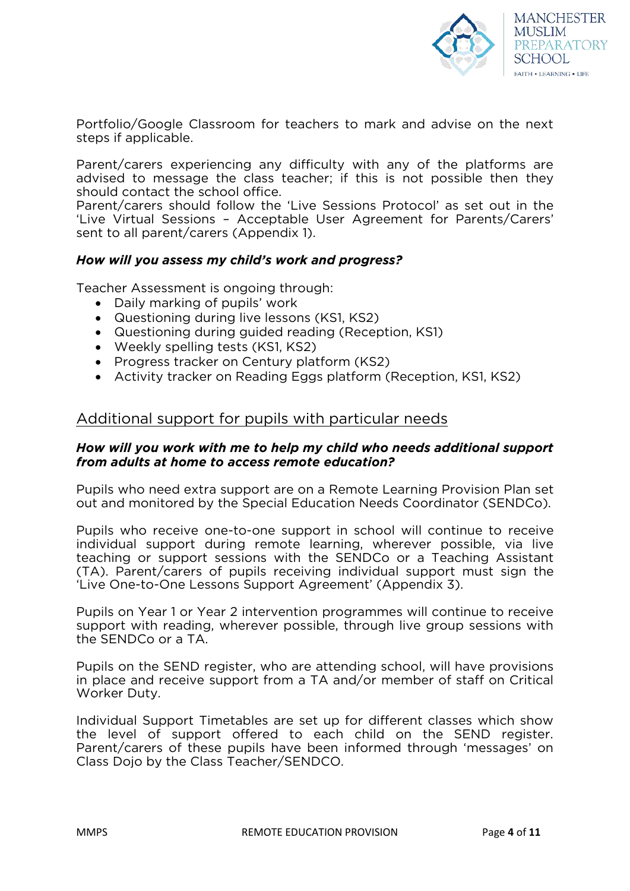

Portfolio/Google Classroom for teachers to mark and advise on the next steps if applicable.

Parent/carers experiencing any difficulty with any of the platforms are advised to message the class teacher; if this is not possible then they should contact the school office.

Parent/carers should follow the 'Live Sessions Protocol' as set out in the 'Live Virtual Sessions – Acceptable User Agreement for Parents/Carers' sent to all parent/carers (Appendix 1).

### *How will you assess my child's work and progress?*

Teacher Assessment is ongoing through:

- Daily marking of pupils' work
- Questioning during live lessons (KS1, KS2)
- Questioning during guided reading (Reception, KS1)
- Weekly spelling tests (KS1, KS2)
- Progress tracker on Century platform (KS2)
- Activity tracker on Reading Eggs platform (Reception, KS1, KS2)

# Additional support for pupils with particular needs

### *How will you work with me to help my child who needs additional support from adults at home to access remote education?*

Pupils who need extra support are on a Remote Learning Provision Plan set out and monitored by the Special Education Needs Coordinator (SENDCo).

Pupils who receive one-to-one support in school will continue to receive individual support during remote learning, wherever possible, via live teaching or support sessions with the SENDCo or a Teaching Assistant (TA). Parent/carers of pupils receiving individual support must sign the 'Live One-to-One Lessons Support Agreement' (Appendix 3).

Pupils on Year 1 or Year 2 intervention programmes will continue to receive support with reading, wherever possible, through live group sessions with the SENDCo or a TA.

Pupils on the SEND register, who are attending school, will have provisions in place and receive support from a TA and/or member of staff on Critical Worker Duty.

Individual Support Timetables are set up for different classes which show the level of support offered to each child on the SEND register. Parent/carers of these pupils have been informed through 'messages' on Class Dojo by the Class Teacher/SENDCO.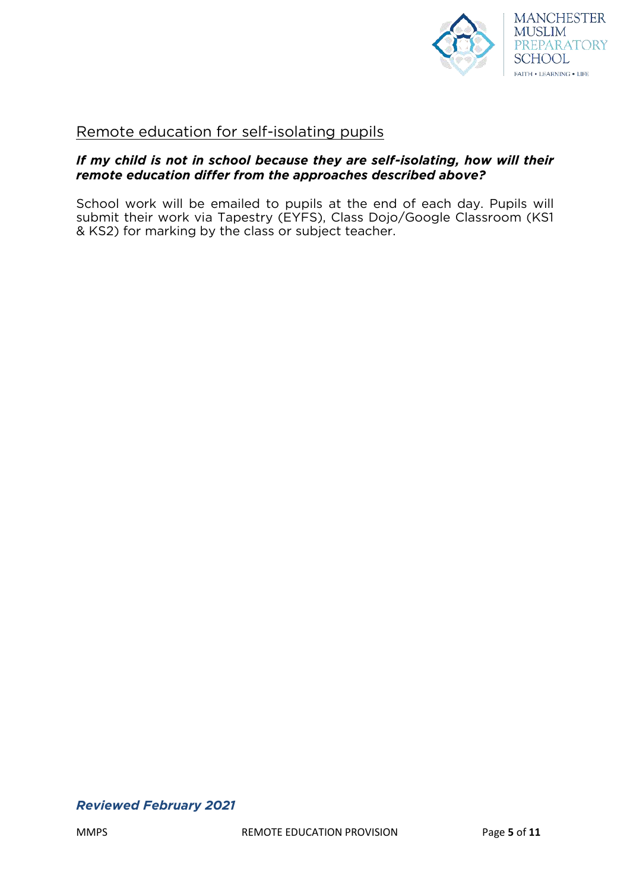

# Remote education for self-isolating pupils

### *If my child is not in school because they are self-isolating, how will their remote education differ from the approaches described above?*

School work will be emailed to pupils at the end of each day. Pupils will submit their work via Tapestry (EYFS), Class Dojo/Google Classroom (KS1 & KS2) for marking by the class or subject teacher.

### *Reviewed February 2021*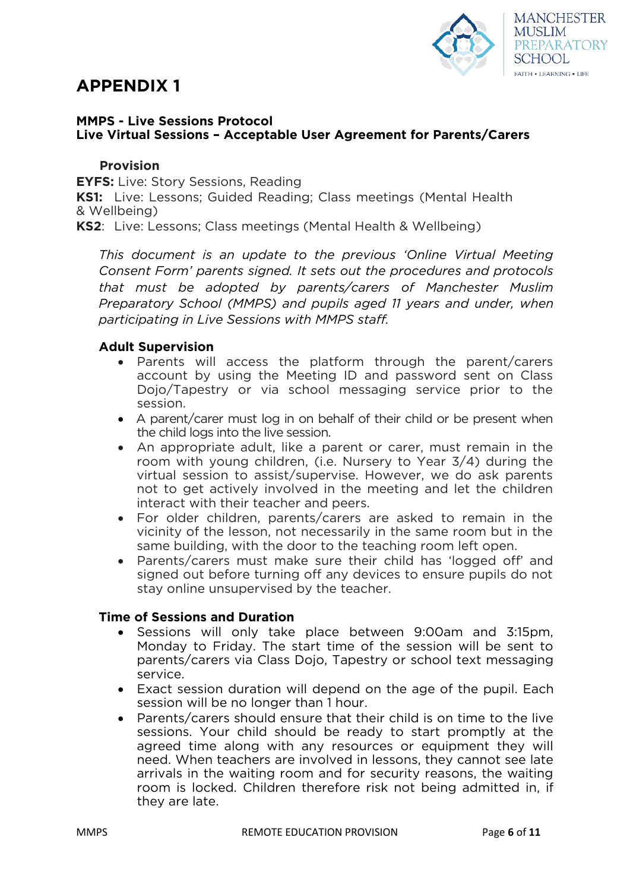# **APPENDIX 1**



### **MMPS - Live Sessions Protocol Live Virtual Sessions – Acceptable User Agreement for Parents/Carers**

### **Provision**

**EYFS:** Live: Story Sessions, Reading

**KS1:** Live: Lessons; Guided Reading; Class meetings (Mental Health & Wellbeing)

**KS2**: Live: Lessons; Class meetings (Mental Health & Wellbeing)

*This document is an update to the previous 'Online Virtual Meeting Consent Form' parents signed. It sets out the procedures and protocols that must be adopted by parents/carers of Manchester Muslim Preparatory School (MMPS) and pupils aged 11 years and under, when participating in Live Sessions with MMPS staff.* 

### **Adult Supervision**

- Parents will access the platform through the parent/carers account by using the Meeting ID and password sent on Class Dojo/Tapestry or via school messaging service prior to the session.
- A parent/carer must log in on behalf of their child or be present when the child logs into the live session.
- An appropriate adult, like a parent or carer, must remain in the room with young children, (i.e. Nursery to Year 3/4) during the virtual session to assist/supervise. However, we do ask parents not to get actively involved in the meeting and let the children interact with their teacher and peers.
- For older children, parents/carers are asked to remain in the vicinity of the lesson, not necessarily in the same room but in the same building, with the door to the teaching room left open.
- Parents/carers must make sure their child has 'logged off' and signed out before turning off any devices to ensure pupils do not stay online unsupervised by the teacher.

#### **Time of Sessions and Duration**

- Sessions will only take place between 9:00am and 3:15pm, Monday to Friday. The start time of the session will be sent to parents/carers via Class Dojo, Tapestry or school text messaging service.
- Exact session duration will depend on the age of the pupil. Each session will be no longer than 1 hour.
- Parents/carers should ensure that their child is on time to the live sessions. Your child should be ready to start promptly at the agreed time along with any resources or equipment they will need. When teachers are involved in lessons, they cannot see late arrivals in the waiting room and for security reasons, the waiting room is locked. Children therefore risk not being admitted in, if they are late.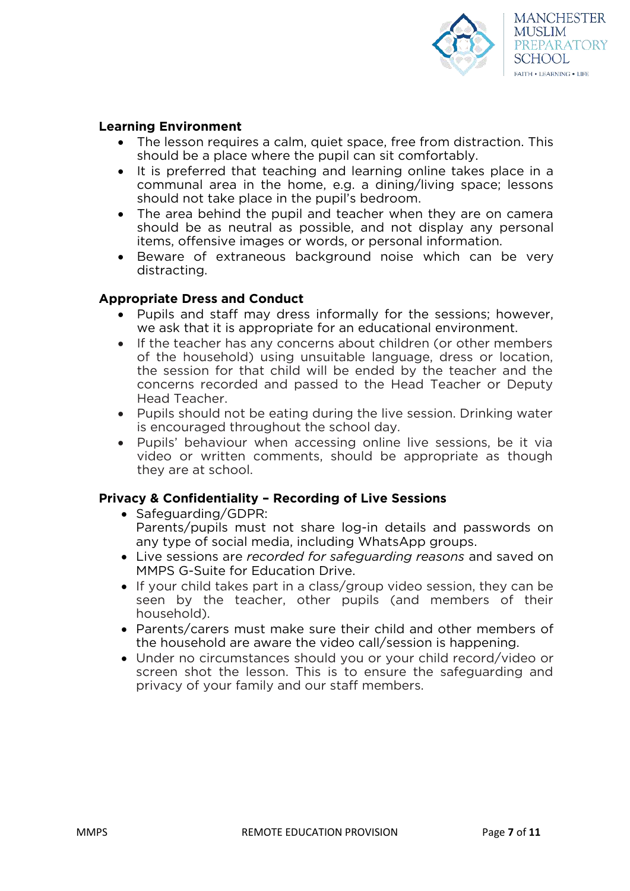

### **Learning Environment**

- The lesson requires a calm, quiet space, free from distraction. This should be a place where the pupil can sit comfortably.
- It is preferred that teaching and learning online takes place in a communal area in the home, e.g. a dining/living space; lessons should not take place in the pupil's bedroom.
- The area behind the pupil and teacher when they are on camera should be as neutral as possible, and not display any personal items, offensive images or words, or personal information.
- Beware of extraneous background noise which can be very distracting.

### **Appropriate Dress and Conduct**

- Pupils and staff may dress informally for the sessions; however, we ask that it is appropriate for an educational environment.
- If the teacher has any concerns about children (or other members of the household) using unsuitable language, dress or location, the session for that child will be ended by the teacher and the concerns recorded and passed to the Head Teacher or Deputy Head Teacher.
- Pupils should not be eating during the live session. Drinking water is encouraged throughout the school day.
- Pupils' behaviour when accessing online live sessions, be it via video or written comments, should be appropriate as though they are at school.

### **Privacy & Confidentiality – Recording of Live Sessions**

- Safeguarding/GDPR: Parents/pupils must not share log-in details and passwords on any type of social media, including WhatsApp groups.
- Live sessions are *recorded for safeguarding reasons* and saved on MMPS G-Suite for Education Drive.
- If your child takes part in a class/group video session, they can be seen by the teacher, other pupils (and members of their household).
- Parents/carers must make sure their child and other members of the household are aware the video call/session is happening.
- Under no circumstances should you or your child record/video or screen shot the lesson. This is to ensure the safeguarding and privacy of your family and our staff members.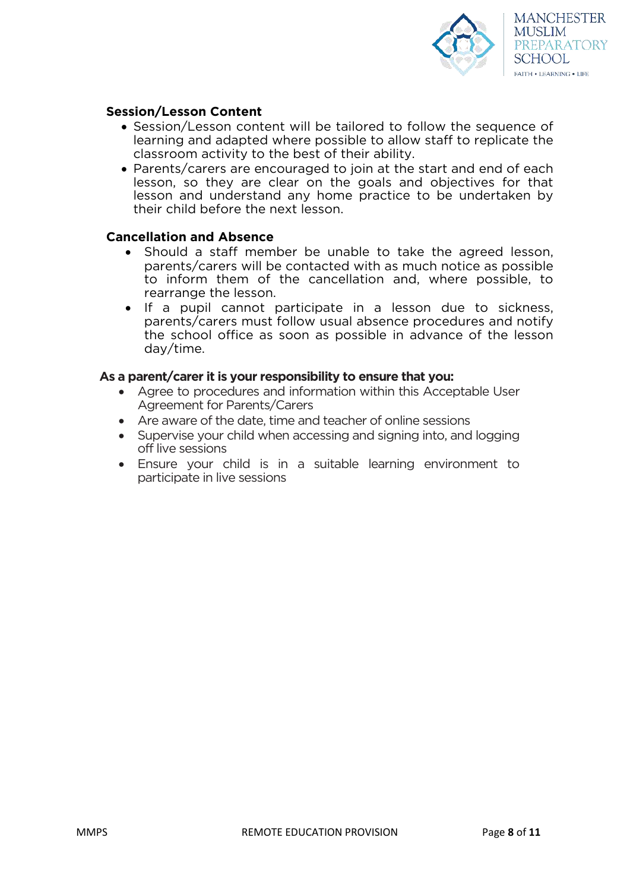

### **Session/Lesson Content**

- Session/Lesson content will be tailored to follow the sequence of learning and adapted where possible to allow staff to replicate the classroom activity to the best of their ability.
- Parents/carers are encouraged to join at the start and end of each lesson, so they are clear on the goals and objectives for that lesson and understand any home practice to be undertaken by their child before the next lesson.

### **Cancellation and Absence**

- Should a staff member be unable to take the agreed lesson, parents/carers will be contacted with as much notice as possible to inform them of the cancellation and, where possible, to rearrange the lesson.
- If a pupil cannot participate in a lesson due to sickness, parents/carers must follow usual absence procedures and notify the school office as soon as possible in advance of the lesson day/time.

#### **As a parent/carer it is your responsibility to ensure that you:**

- Agree to procedures and information within this Acceptable User Agreement for Parents/Carers
- Are aware of the date, time and teacher of online sessions
- Supervise your child when accessing and signing into, and logging off live sessions
- Ensure your child is in a suitable learning environment to participate in live sessions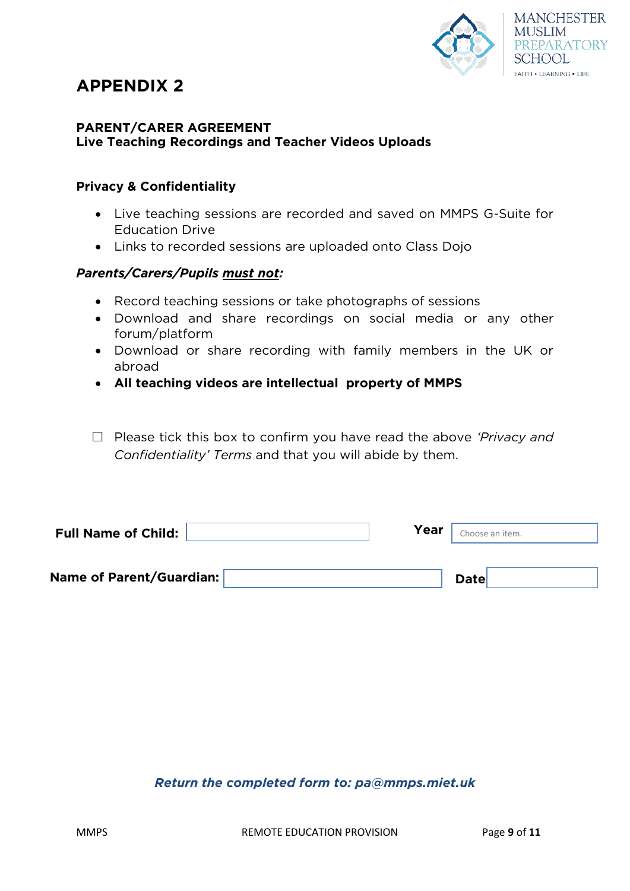

# **APPENDIX 2**

### **PARENT/CARER AGREEMENT Live Teaching Recordings and Teacher Videos Uploads**

# **Privacy & Confidentiality**

- Live teaching sessions are recorded and saved on MMPS G-Suite for Education Drive
- Links to recorded sessions are uploaded onto Class Dojo

# *Parents/Carers/Pupils must not:*

- Record teaching sessions or take photographs of sessions
- Download and share recordings on social media or any other forum/platform
- Download or share recording with family members in the UK or abroad
- **All teaching videos are intellectual property of MMPS**
- ☐ Please tick this box to confirm you have read the above *'Privacy and Confidentiality' Terms* and that you will abide by them.

| <b>Full Name of Child:</b> | Year | Choose an item. |  |
|----------------------------|------|-----------------|--|
|                            |      |                 |  |
| Name of Parent/Guardian:   |      | <b>Date</b>     |  |

# *Return the completed form to: pa@mmps.miet.uk*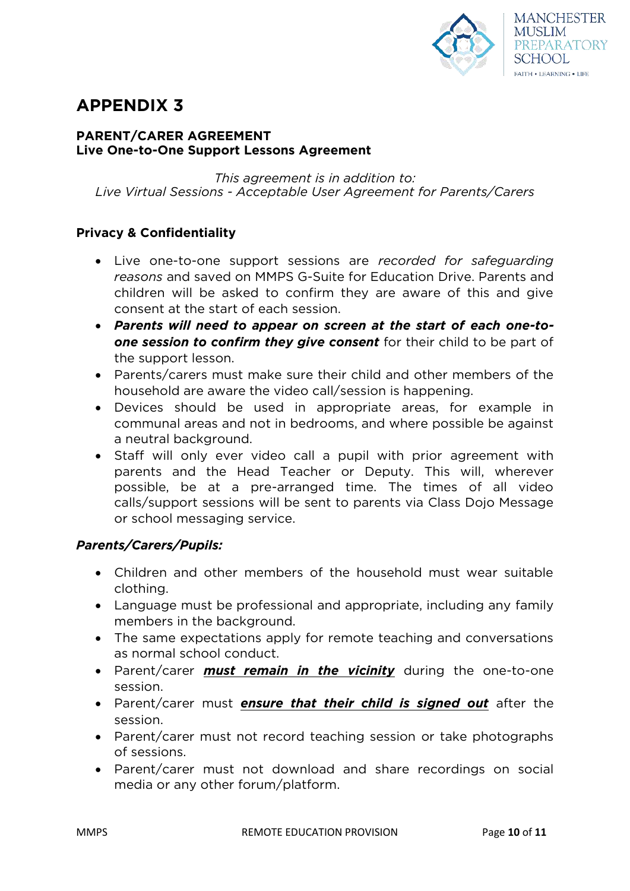

# **APPENDIX 3**

### **PARENT/CARER AGREEMENT Live One-to-One Support Lessons Agreement**

*This agreement is in addition to: Live Virtual Sessions - Acceptable User Agreement for Parents/Carers* 

# **Privacy & Confidentiality**

- Live one-to-one support sessions are *recorded for safeguarding reasons* and saved on MMPS G-Suite for Education Drive. Parents and children will be asked to confirm they are aware of this and give consent at the start of each session.
- *Parents will need to appear on screen at the start of each one-toone session to confirm they give consent* for their child to be part of the support lesson.
- Parents/carers must make sure their child and other members of the household are aware the video call/session is happening.
- Devices should be used in appropriate areas, for example in communal areas and not in bedrooms, and where possible be against a neutral background.
- Staff will only ever video call a pupil with prior agreement with parents and the Head Teacher or Deputy. This will, wherever possible, be at a pre-arranged time. The times of all video calls/support sessions will be sent to parents via Class Dojo Message or school messaging service.

# *Parents/Carers/Pupils:*

- Children and other members of the household must wear suitable clothing.
- Language must be professional and appropriate, including any family members in the background.
- The same expectations apply for remote teaching and conversations as normal school conduct.
- Parent/carer *must remain in the vicinity* during the one-to-one session.
- Parent/carer must *ensure that their child is signed out* after the session.
- Parent/carer must not record teaching session or take photographs of sessions.
- Parent/carer must not download and share recordings on social media or any other forum/platform.